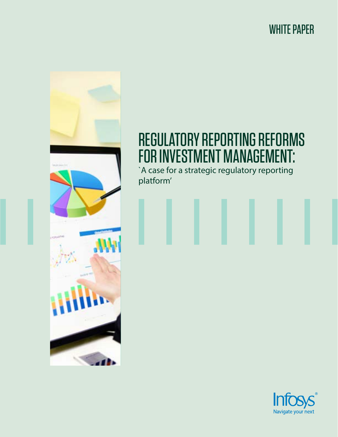WHITE PAPER



# REGULATORY REPORTING REFORMS FOR INVESTMENT MANAGEMENT:

`A case for a strategic regulatory reporting platform'

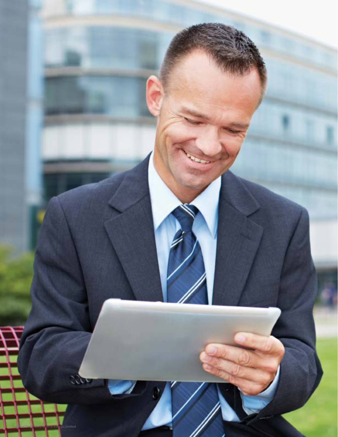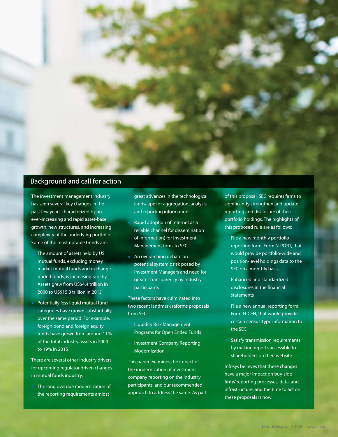

## Background and call for action

The investment management industry has seen several key changes in the past few years characterized by an ever-increasing and rapid asset-base growth, new structures, and increasing complexity of the underlying portfolio. Some of the most notable trends are:

- The amount of assets held by US mutual funds, excluding money market mutual funds and exchange traded funds, is increasing rapidly. Assets grew from US\$4.4 trillion in 2000 to US\$15.8 trillion in 2015
- Potentially less liquid mutual fund categories have grown substantially over the same period. For example, foreign bond and foreign equity funds have grown from around 11% of the total industry assets in 2000 to 19% in 2015

There are several other industry drivers for upcoming regulator driven changes in mutual funds industry:

• The long overdue modernization of the reporting requirements amidst

great advances in the technological landscape for aggregation, analysis and reporting information

- Rapid adoption of Internet as a reliable channel for dissemination of information) for Investment Management firms to SEC
- An overarching debate on potential systemic risk posed by Investment Managers and need for greater transparency by Industry participants

These factors have culminated into two recent landmark reforms proposals from SEC:

- Liquidity Risk Management Programs for Open Ended Funds
- Investment Company Reporting Modernization

This paper examines the impact of the modernization of investment company reporting on the industry participants, and our recommended approach to address the same. As part

of this proposal, SEC requires firms to significantly strengthen and update reporting and disclosure of their portfolio holdings. The highlights of this proposed rule are as follows:

- File a new monthly portfolio reporting form, Form N-PORT, that would provide portfolio-wide and position-level holdings data to the SEC on a monthly basis
- Enhanced and standardized disclosures in the financial statements
- File a new annual reporting form, Form N-CEN, that would provide certain census-type information to the SEC
- Satisfy transmission requirements by making reports accessible to shareholders on their website

Infosys believes that these changes have a major impact on buy-side firms' reporting processes, data, and infrastructure, and the time to act on these proposals is now.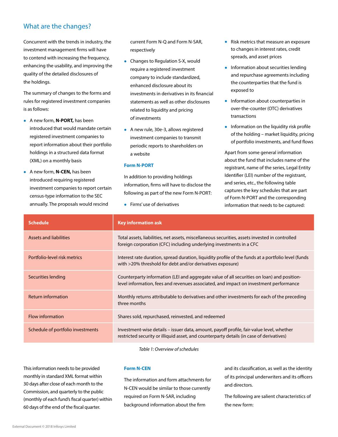# What are the changes?

Concurrent with the trends in industry, the investment management firms will have to contend with increasing the frequency, enhancing the usability, and improving the quality of the detailed disclosures of the holdings.

The summary of changes to the forms and rules for registered investment companies is as follows:

- A new form, **N-PORT,** has been introduced that would mandate certain registered investment companies to report information about their portfolio holdings in a structured data format (XML) on a monthly basis
- A new form, **N-CEN,** has been introduced requiring registered investment companies to report certain census-type information to the SEC annually. The proposals would rescind

current Form N-Q and Form N-SAR, respectively

- Changes to Regulation S-X, would require a registered investment company to include standardized, enhanced disclosure about its investments in derivatives in its financial statements as well as other disclosures related to liquidity and pricing of investments
- A new rule, 30e-3, allows registered investment companies to transmit periodic reports to shareholders on a website

#### **Form N-PORT**

In addition to providing holdings information, firms will have to disclose the following as part of the new Form N-PORT:

• Firms' use of derivatives

- Risk metrics that measure an exposure to changes in interest rates, credit spreads, and asset prices
- Information about securities lending and repurchase agreements including the counterparties that the fund is exposed to
- Information about counterparties in over-the-counter (OTC) derivatives transactions
- Information on the liquidity risk profile of the holding – market liquidity, pricing of portfolio investments, and fund flows

Apart from some general information about the fund that includes name of the registrant, name of the series, Legal Entity Identifier (LEI) number of the registrant, and series, etc., the following table captures the key schedules that are part of Form N-PORT and the corresponding information that needs to be captured:

| <b>Schedule</b>                   | <b>Key information ask</b>                                                                                                                                                           |
|-----------------------------------|--------------------------------------------------------------------------------------------------------------------------------------------------------------------------------------|
| Assets and liabilities            | Total assets, liabilities, net assets, miscellaneous securities, assets invested in controlled<br>foreign corporation (CFC) including underlying investments in a CFC                |
| Portfolio-level risk metrics      | Interest rate duration, spread duration, liquidity profile of the funds at a portfolio level (funds<br>with >20% threshold for debt and/or derivatives exposure)                     |
| Securities lending                | Counterparty information (LEI and aggregate value of all securities on loan) and position-<br>level information, fees and revenues associated, and impact on investment performance  |
| <b>Return information</b>         | Monthly returns attributable to derivatives and other investments for each of the preceding<br>three months                                                                          |
| Flow information                  | Shares sold, repurchased, reinvested, and redeemed                                                                                                                                   |
| Schedule of portfolio investments | Investment-wise details – issuer data, amount, payoff profile, fair-value level, whether<br>restricted security or illiquid asset, and counterparty details (in case of derivatives) |

*Table 1: Overview of schedules*

This information needs to be provided monthly in standard XML format within 30 days after close of each month to the Commission, and quarterly to the public (monthly of each fund's fiscal quarter) within 60 days of the end of the fiscal quarter.

#### **Form N-CEN**

The information and form attachments for N-CEN would be similar to those currently required on Form N-SAR, including background information about the firm

and its classification, as well as the identity of its principal underwriters and its officers and directors.

The following are salient characteristics of the new form: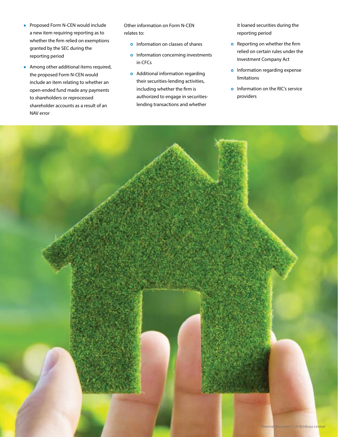- Proposed Form N-CEN would include a new item requiring reporting as to whether the firm relied on exemptions granted by the SEC during the reporting period
- Among other additional items required, the proposed Form N-CEN would include an item relating to whether an open-ended fund made any payments to shareholders or reprocessed shareholder accounts as a result of an NAV error

Other information on Form N-CEN relates to:

- o Information on classes of shares
- o Information concerning investments in CFCs
- **o** Additional information regarding their securities-lending activities, including whether the firm is authorized to engage in securitieslending transactions and whether

it loaned securities during the reporting period

- **o** Reporting on whether the firm relied on certain rules under the Investment Company Act
- o Information regarding expense limitations
- o Information on the RIC's service providers

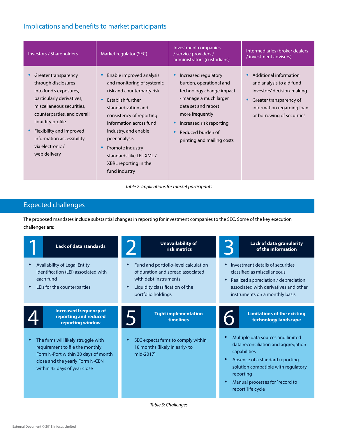# Implications and benefits to market participants

| <b>Investors / Shareholders</b>                                                                                                                                                                                                                                                  | Market regulator (SEC)                                                                                                                                                                                                                                                                                                             | Investment companies<br>/ service providers /<br>administrators (custodians)                                                                                                                                                   | Intermediaries (broker dealers<br>/ investment advisers)                                                                                                                |  |
|----------------------------------------------------------------------------------------------------------------------------------------------------------------------------------------------------------------------------------------------------------------------------------|------------------------------------------------------------------------------------------------------------------------------------------------------------------------------------------------------------------------------------------------------------------------------------------------------------------------------------|--------------------------------------------------------------------------------------------------------------------------------------------------------------------------------------------------------------------------------|-------------------------------------------------------------------------------------------------------------------------------------------------------------------------|--|
| Greater transparency<br>through disclosures<br>into fund's exposures,<br>particularly derivatives,<br>miscellaneous securities,<br>counterparties, and overall<br>liquidity profile<br>Flexibility and improved<br>information accessibility<br>via electronic /<br>web delivery | Enable improved analysis<br>and monitoring of systemic<br>risk and counterparty risk<br><b>Establish further</b><br>standardization and<br>consistency of reporting<br>information across fund<br>industry, and enable<br>peer analysis<br>Promote industry<br>standards like LEI, XML /<br>XBRL reporting in the<br>fund industry | Increased regulatory<br>burden, operational and<br>technology change impact<br>- manage a much larger<br>data set and report<br>more frequently<br>Increased risk reporting<br>Reduced burden of<br>printing and mailing costs | Additional information<br>and analysis to aid fund<br>investors' decision-making<br>Greater transparency of<br>information regarding loan<br>or borrowing of securities |  |
| Table 2: Implications for market participants                                                                                                                                                                                                                                    |                                                                                                                                                                                                                                                                                                                                    |                                                                                                                                                                                                                                |                                                                                                                                                                         |  |

# Expected challenges

The proposed mandates include substantial changes in reporting for investment companies to the SEC. Some of the key execution challenges are:

| <b>Lack of data standards</b>                                                                                                                                                    | <b>Unavailability of</b><br>risk metrics                                                                                                                    | Lack of data granularity<br>of the information                                                                                                                                                                                                          |
|----------------------------------------------------------------------------------------------------------------------------------------------------------------------------------|-------------------------------------------------------------------------------------------------------------------------------------------------------------|---------------------------------------------------------------------------------------------------------------------------------------------------------------------------------------------------------------------------------------------------------|
| <b>Availability of Legal Entity</b><br>Identification (LEI) associated with<br>each fund<br>LEIs for the counterparties                                                          | Fund and portfolio-level calculation<br>of duration and spread associated<br>with debt instruments<br>Liquidity classification of the<br>portfolio holdings | Investment details of securities<br>$\bullet$<br>classified as miscellaneous<br>Realized appreciation / depreciation<br>$\bullet$<br>associated with derivatives and other<br>instruments on a monthly basis                                            |
| <b>Increased frequency of</b><br>reporting and reduced<br>reporting window                                                                                                       | <b>Tight implementation</b><br>timelines                                                                                                                    | <b>Limitations of the existing</b><br>technology landscape                                                                                                                                                                                              |
| The firms will likely struggle with<br>requirement to file the monthly<br>Form N-Port within 30 days of month<br>close and the yearly Form N-CEN<br>within 45 days of year close | SEC expects firms to comply within<br>18 months (likely in early- to<br>mid-2017)                                                                           | Multiple data sources and limited<br>٠<br>data reconciliation and aggregation<br>capabilities<br>Absence of a standard reporting<br>٠<br>solution compatible with regulatory<br>reporting<br>Manual processes for `record to<br>٠<br>report' life cycle |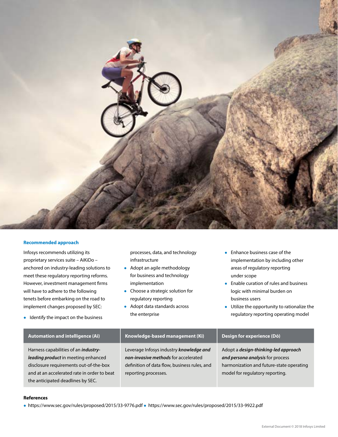

### **Recommended approach**

Infosys recommends utilizing its proprietary services suite – AiKiDo – anchored on industry-leading solutions to meet these regulatory reporting reforms. However, investment management firms will have to adhere to the following tenets before embarking on the road to implement changes proposed by SEC:

• Identify the impact on the business

processes, data, and technology infrastructure

- Adopt an agile methodology for business and technology implementation
- Choose a strategic solution for regulatory reporting
- Adopt data standards across the enterprise
- Enhance business case of the implementation by including other areas of regulatory reporting under scope
- Enable curation of rules and business logic with minimal burden on business users
- Utilize the opportunity to rationalize the regulatory reporting operating model

Harness capabilities of an *industryleading product* in meeting enhanced disclosure requirements out-of-the-box and at an accelerated rate in order to beat the anticipated deadlines by SEC.

### **Automation and intelligence (Ai) Knowledge-based management (Ki) Design for experience (Dō)**

Leverage Infosys industry *knowledge and non-invasive methods* for accelerated definition of data flow, business rules, and reporting processes.

Adopt a *design-thinking-led approach and persona analysis* for process harmonization and future-state operating model for regulatory reporting.

#### **References**

• https://www.sec.gov/rules/proposed/2015/33-9776.pdf • https://www.sec.gov/rules/proposed/2015/33-9922.pdf